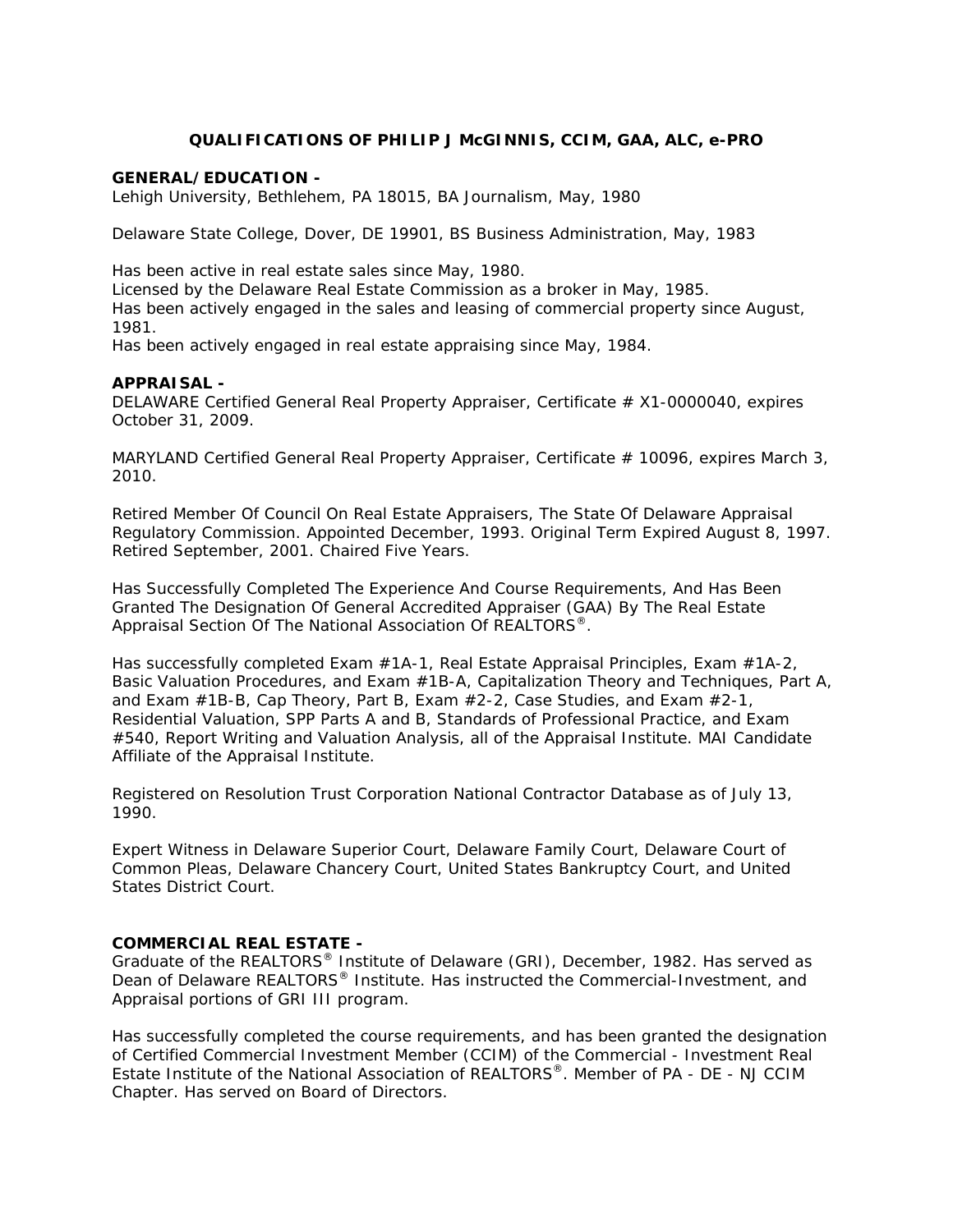# **QUALIFICATIONS OF PHILIP J McGINNIS, CCIM, GAA, ALC, e-PRO**

#### *GENERAL/EDUCATION -*

Lehigh University, Bethlehem, PA 18015, BA Journalism, May, 1980

Delaware State College, Dover, DE 19901, BS Business Administration, May, 1983

Has been active in real estate sales since May, 1980.

Licensed by the Delaware Real Estate Commission as a broker in May, 1985. Has been actively engaged in the sales and leasing of commercial property since August, 1981.

Has been actively engaged in real estate appraising since May, 1984.

#### *APPRAISAL -*

DELAWARE Certified General Real Property Appraiser, Certificate # X1-0000040, expires October 31, 2009.

MARYLAND Certified General Real Property Appraiser, Certificate  $# 10096$ , expires March 3, 2010.

Retired Member Of Council On Real Estate Appraisers, The State Of Delaware Appraisal Regulatory Commission. Appointed December, 1993. Original Term Expired August 8, 1997. Retired September, 2001. Chaired Five Years.

Has Successfully Completed The Experience And Course Requirements, And Has Been Granted The Designation Of General Accredited Appraiser (GAA) By The Real Estate Appraisal Section Of The National Association Of REALTORS®.

Has successfully completed Exam #1A-1, Real Estate Appraisal Principles, Exam #1A-2, Basic Valuation Procedures, and Exam #1B-A, Capitalization Theory and Techniques, Part A, and Exam #1B-B, Cap Theory, Part B, Exam #2-2, Case Studies, and Exam #2-1, Residential Valuation, SPP Parts A and B, Standards of Professional Practice, and Exam #540, Report Writing and Valuation Analysis, all of the Appraisal Institute. MAI Candidate Affiliate of the Appraisal Institute.

Registered on Resolution Trust Corporation National Contractor Database as of July 13, 1990.

Expert Witness in Delaware Superior Court, Delaware Family Court, Delaware Court of Common Pleas, Delaware Chancery Court, United States Bankruptcy Court, and United States District Court.

### *COMMERCIAL REAL ESTATE -*

Graduate of the REALTORS® Institute of Delaware (GRI), December, 1982. Has served as Dean of Delaware REALTORS<sup>®</sup> Institute. Has instructed the Commercial-Investment, and Appraisal portions of GRI III program.

Has successfully completed the course requirements, and has been granted the designation of Certified Commercial Investment Member (CCIM) of the Commercial - Investment Real Estate Institute of the National Association of REALTORS®. Member of PA - DE - NJ CCIM Chapter. Has served on Board of Directors.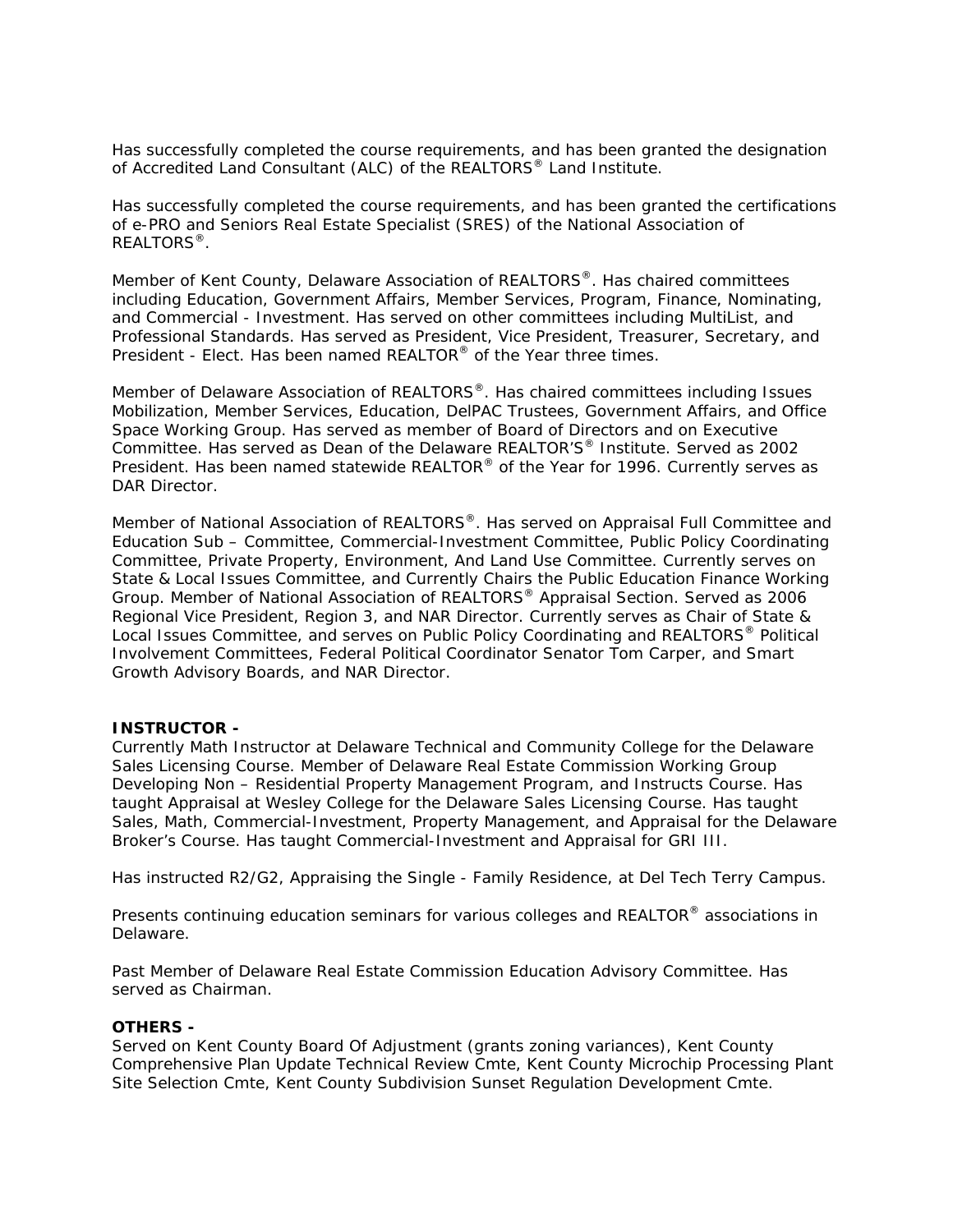Has successfully completed the course requirements, and has been granted the designation of Accredited Land Consultant (ALC) of the REALTORS® Land Institute.

Has successfully completed the course requirements, and has been granted the certifications of e-PRO and Seniors Real Estate Specialist (SRES) of the National Association of REALTORS<sup>®</sup>.

Member of Kent County, Delaware Association of REALTORS®. Has chaired committees including Education, Government Affairs, Member Services, Program, Finance, Nominating, and Commercial - Investment. Has served on other committees including MultiList, and Professional Standards. Has served as President, Vice President, Treasurer, Secretary, and President - Elect. Has been named REALTOR<sup>®</sup> of the Year three times.

Member of Delaware Association of REALTORS®. Has chaired committees including Issues Mobilization, Member Services, Education, DelPAC Trustees, Government Affairs, and Office Space Working Group. Has served as member of Board of Directors and on Executive Committee. Has served as Dean of the Delaware REALTOR'S® Institute. Served as 2002 President. Has been named statewide REALTOR® of the Year for 1996. Currently serves as DAR Director.

Member of National Association of REALTORS®. Has served on Appraisal Full Committee and Education Sub – Committee, Commercial-Investment Committee, Public Policy Coordinating Committee, Private Property, Environment, And Land Use Committee. Currently serves on State & Local Issues Committee, and Currently Chairs the Public Education Finance Working Group. Member of National Association of REALTORS® Appraisal Section. Served as 2006 Regional Vice President, Region 3, and NAR Director. Currently serves as Chair of State & Local Issues Committee, and serves on Public Policy Coordinating and REALTORS<sup>®</sup> Political Involvement Committees, Federal Political Coordinator Senator Tom Carper, and Smart Growth Advisory Boards, and NAR Director.

## *INSTRUCTOR -*

Currently Math Instructor at Delaware Technical and Community College for the Delaware Sales Licensing Course. Member of Delaware Real Estate Commission Working Group Developing Non – Residential Property Management Program, and Instructs Course. Has taught Appraisal at Wesley College for the Delaware Sales Licensing Course. Has taught Sales, Math, Commercial-Investment, Property Management, and Appraisal for the Delaware Broker's Course. Has taught Commercial-Investment and Appraisal for GRI III.

Has instructed R2/G2, Appraising the Single - Family Residence, at Del Tech Terry Campus.

Presents continuing education seminars for various colleges and REALTOR<sup>®</sup> associations in Delaware.

Past Member of Delaware Real Estate Commission Education Advisory Committee. Has served as Chairman.

#### *OTHERS -*

Served on Kent County Board Of Adjustment (grants zoning variances), Kent County Comprehensive Plan Update Technical Review Cmte, Kent County Microchip Processing Plant Site Selection Cmte, Kent County Subdivision Sunset Regulation Development Cmte.